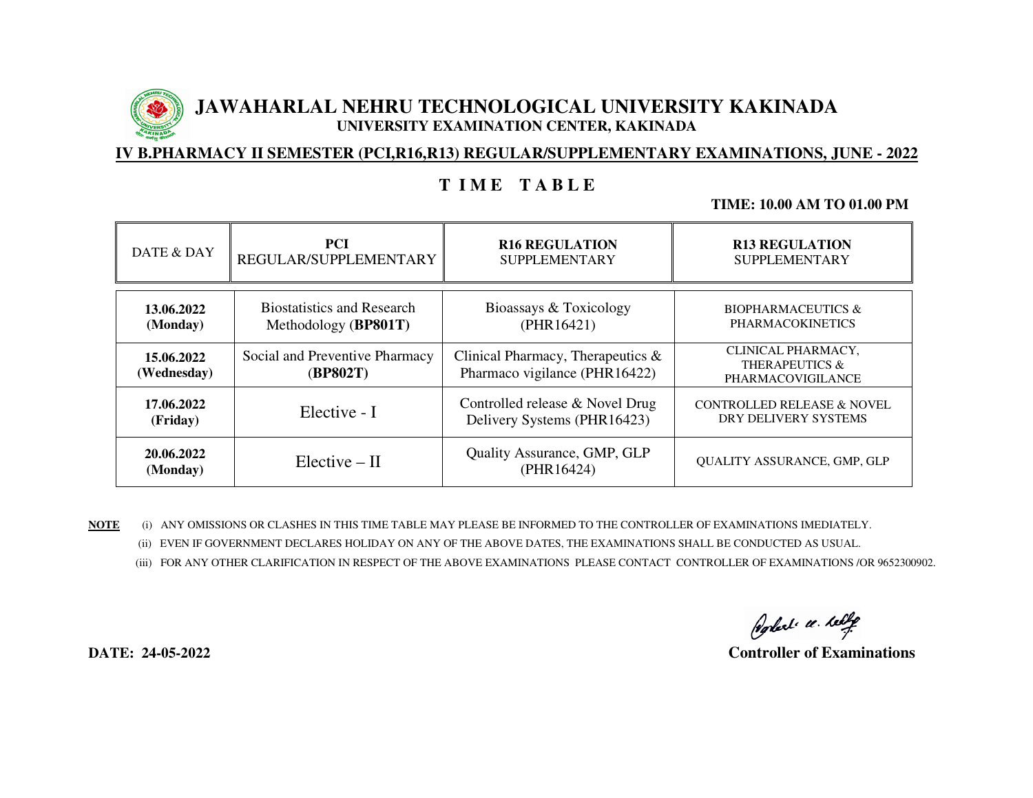

# **JAWAHARLAL NEHRU TECHNOLOGICAL UNIVERSITY KAKINADA UNIVERSITY EXAMINATION CENTER, KAKINADA**

### **IV B.PHARMACY II SEMESTER (PCI,R16,R13) REGULAR/SUPPLEMENTARY EXAMINATIONS, JUNE - 2022**

## **T I M E T A B L E**

### **TIME: 10.00 AM TO 01.00 PM**

| DATE & DAY                | <b>PCI</b>                                 | <b>R16 REGULATION</b>                                                 | <b>R13 REGULATION</b>                                     |
|---------------------------|--------------------------------------------|-----------------------------------------------------------------------|-----------------------------------------------------------|
|                           | REGULAR/SUPPLEMENTARY                      | <b>SUPPLEMENTARY</b>                                                  | <b>SUPPLEMENTARY</b>                                      |
| 13.06.2022                | <b>Biostatistics and Research</b>          | Bioassays & Toxicology                                                | <b>BIOPHARMACEUTICS &amp;</b>                             |
| (Monday)                  | Methodology (BP801T)                       | (PHR16421)                                                            | <b>PHARMACOKINETICS</b>                                   |
| 15.06.2022<br>(Wednesday) | Social and Preventive Pharmacy<br>(BP802T) | Clinical Pharmacy, Therapeutics $\&$<br>Pharmaco vigilance (PHR16422) | CLINICAL PHARMACY,<br>THERAPEUTICS &<br>PHARMACOVIGILANCE |
| 17.06.2022                | Elective - I                               | Controlled release & Novel Drug                                       | <b>CONTROLLED RELEASE &amp; NOVEL</b>                     |
| (Friday)                  |                                            | Delivery Systems (PHR16423)                                           | DRY DELIVERY SYSTEMS                                      |
| 20.06.2022<br>(Monday)    | $Electric - II$                            | <b>Quality Assurance, GMP, GLP</b><br>(PHR16424)                      | QUALITY ASSURANCE, GMP, GLP                               |

**NOTE** (i) ANY OMISSIONS OR CLASHES IN THIS TIME TABLE MAY PLEASE BE INFORMED TO THE CONTROLLER OF EXAMINATIONS IMEDIATELY. (ii) EVEN IF GOVERNMENT DECLARES HOLIDAY ON ANY OF THE ABOVE DATES, THE EXAMINATIONS SHALL BE CONDUCTED AS USUAL.

(iii) FOR ANY OTHER CLARIFICATION IN RESPECT OF THE ABOVE EXAMINATIONS PLEASE CONTACT CONTROLLER OF EXAMINATIONS /OR 9652300902.

Poplet a telle

**DATE: 24-05-2022 Controller of Examinations**